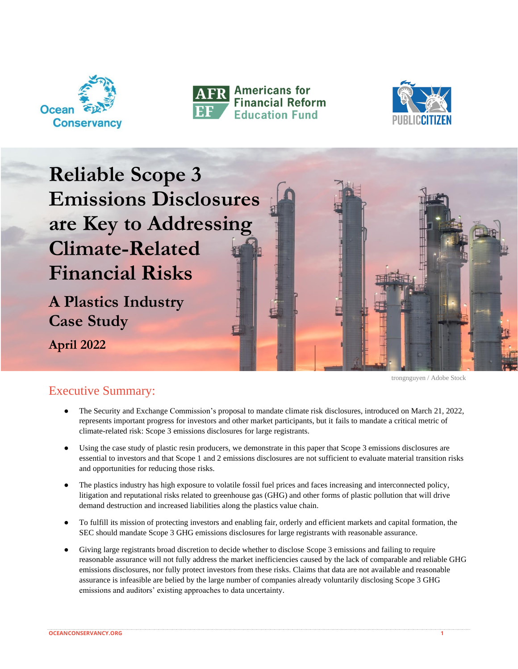





**Reliable Scope 3 Emissions Disclosures are Key to Addressing Climate-Related Financial Risks**

**A Plastics Industry Case Study**

**April 2022**

trongnguyen / Adobe Stock

# Executive Summary:

- The Security and Exchange Commission's proposal to mandate climate risk disclosures, introduced on March 21, 2022, represents important progress for investors and other market participants, but it fails to mandate a critical metric of climate-related risk: Scope 3 emissions disclosures for large registrants.
- Using the case study of plastic resin producers, we demonstrate in this paper that Scope 3 emissions disclosures are essential to investors and that Scope 1 and 2 emissions disclosures are not sufficient to evaluate material transition risks and opportunities for reducing those risks.
- The plastics industry has high exposure to volatile fossil fuel prices and faces increasing and interconnected policy, litigation and reputational risks related to greenhouse gas (GHG) and other forms of plastic pollution that will drive demand destruction and increased liabilities along the plastics value chain.
- To fulfill its mission of protecting investors and enabling fair, orderly and efficient markets and capital formation, the SEC should mandate Scope 3 GHG emissions disclosures for large registrants with reasonable assurance.
- Giving large registrants broad discretion to decide whether to disclose Scope 3 emissions and failing to require reasonable assurance will not fully address the market inefficiencies caused by the lack of comparable and reliable GHG emissions disclosures, nor fully protect investors from these risks. Claims that data are not available and reasonable assurance is infeasible are belied by the large number of companies already voluntarily disclosing Scope 3 GHG emissions and auditors' existing approaches to data uncertainty.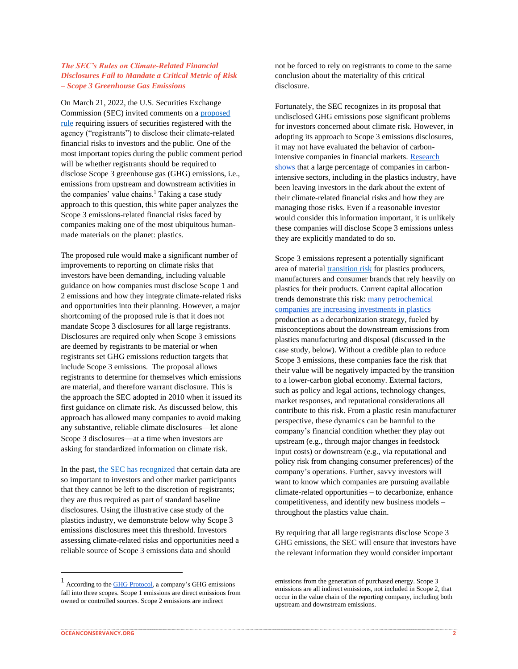#### *The SEC's Rules on Climate-Related Financial Disclosures Fail to Mandate a Critical Metric of Risk – Scope 3 Greenhouse Gas Emissions*

On March 21, 2022, the U.S. Securities Exchange Commission (SEC) invited comments on a [proposed](https://www.sec.gov/news/press-release/2022-46)  [rule](https://www.sec.gov/news/press-release/2022-46) requiring issuers of securities registered with the agency ("registrants") to disclose their climate-related financial risks to investors and the public. One of the most important topics during the public comment period will be whether registrants should be required to disclose Scope 3 greenhouse gas (GHG) emissions, i.e., emissions from upstream and downstream activities in the companies' value chains.<sup>1</sup> Taking a case study approach to this question, this white paper analyzes the Scope 3 emissions-related financial risks faced by companies making one of the most ubiquitous humanmade materials on the planet: plastics.

The proposed rule would make a significant number of improvements to reporting on climate risks that investors have been demanding, including valuable guidance on how companies must disclose Scope 1 and 2 emissions and how they integrate climate-related risks and opportunities into their planning. However, a major shortcoming of the proposed rule is that it does not mandate Scope 3 disclosures for all large registrants. Disclosures are required only when Scope 3 emissions are deemed by registrants to be material or when registrants set GHG emissions reduction targets that include Scope 3 emissions. The proposal allows registrants to determine for themselves which emissions are material, and therefore warrant disclosure. This is the approach the SEC adopted in 2010 when it issued its first guidance on climate risk. As discussed below, this approach has allowed many companies to avoid making any substantive, reliable climate disclosures—let alone Scope 3 disclosures—at a time when investors are asking for standardized information on climate risk.

In the past[, the SEC has recognized](https://www.americanprogress.org/article/the-secs-scope-3-climate-emissions-rule-should-not-be-based-on-materiality/) that certain data are so important to investors and other market participants that they cannot be left to the discretion of registrants; they are thus required as part of standard baseline disclosures. Using the illustrative case study of the plastics industry, we demonstrate below why Scope 3 emissions disclosures meet this threshold. Investors assessing climate-related risks and opportunities need a reliable source of Scope 3 emissions data and should

<sup>1</sup> According to the [GHG Protocol,](https://ghgprotocol.org/sites/default/files/standards_supporting/FAQ.pdf) a company's GHG emissions fall into three scopes. Scope 1 emissions are direct emissions from owned or controlled sources. Scope 2 emissions are indirect

not be forced to rely on registrants to come to the same conclusion about the materiality of this critical disclosure.

Fortunately, the SEC recognizes in its proposal that undisclosed GHG emissions pose significant problems for investors concerned about climate risk. However, in adopting its approach to Scope 3 emissions disclosures, it may not have evaluated the behavior of carbonintensive companies in financial markets. [Research](https://carbontracker.org/flying-blind-pr/)  [shows t](https://carbontracker.org/flying-blind-pr/)hat a large percentage of companies in carbonintensive sectors, including in the plastics industry, have been leaving investors in the dark about the extent of their climate-related financial risks and how they are managing those risks. Even if a reasonable investor would consider this information important, it is unlikely these companies will disclose Scope 3 emissions unless they are explicitly mandated to do so.

Scope 3 emissions represent a potentially significant area of material [transition risk](https://www.tcfdhub.org/Downloads/pdfs/E02%2520-%2520Glossary%2520&%2520Abbreviations.pdf) for plastics producers, manufacturers and consumer brands that rely heavily on plastics for their products. Current capital allocation trends demonstrate this risk: [many petrochemical](https://carbontracker.org/reports/the-futures-not-in-plastics/)  [companies are increasing investments in plastics](https://carbontracker.org/reports/the-futures-not-in-plastics/) production as a decarbonization strategy, fueled by misconceptions about the downstream emissions from plastics manufacturing and disposal (discussed in the case study, below). Without a credible plan to reduce Scope 3 emissions, these companies face the risk that their value will be negatively impacted by the transition to a lower-carbon global economy. External factors, such as policy and legal actions, technology changes, market responses, and reputational considerations all contribute to this risk. From a plastic resin manufacturer perspective, these dynamics can be harmful to the company's financial condition whether they play out upstream (e.g., through major changes in feedstock input costs) or downstream (e.g., via reputational and policy risk from changing consumer preferences) of the company's operations. Further, savvy investors will want to know which companies are pursuing available climate-related opportunities – to decarbonize, enhance competitiveness, and identify new business models – throughout the plastics value chain.

By requiring that all large registrants disclose Scope 3 GHG emissions, the SEC will ensure that investors have the relevant information they would consider important

emissions from the generation of purchased energy. Scope 3 emissions are all indirect emissions, not included in Scope 2, that occur in the value chain of the reporting company, including both upstream and downstream emissions.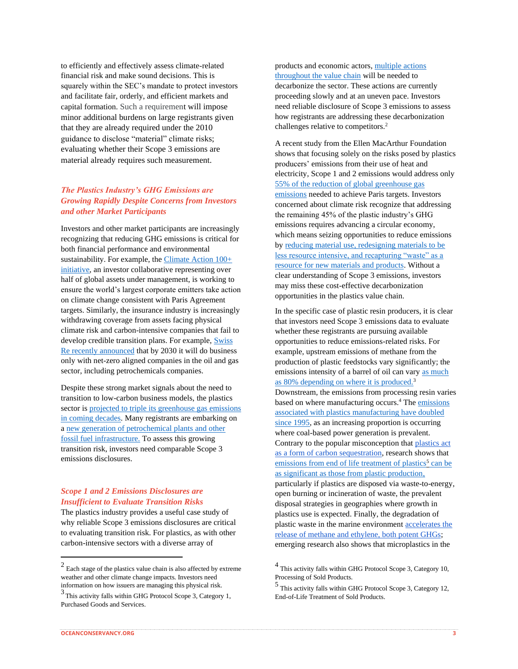to efficiently and effectively assess climate-related financial risk and make sound decisions. This is squarely within the SEC's mandate to protect investors and facilitate fair, orderly, and efficient markets and capital formation. Such a requirement will impose minor additional burdens on large registrants given that they are already required under the 2010 guidance to disclose "material" climate risks; evaluating whether their Scope 3 emissions are material already requires such measurement.

# *The Plastics Industry's GHG Emissions are Growing Rapidly Despite Concerns from Investors and other Market Participants*

Investors and other market participants are increasingly recognizing that reducing GHG emissions is critical for both financial performance and environmental sustainability. For example, the [Climate Action 100+](https://www.climateaction100.org/about/)  [initiative,](https://www.climateaction100.org/about/) an investor collaborative representing over half of global assets under management, is working to ensure the world's largest corporate emitters take action on climate change consistent with Paris Agreement targets. Similarly, the insurance industry is increasingly withdrawing coverage from assets facing physical climate risk and carbon-intensive companies that fail to develop credible transition plans. For example, [Swiss](https://global.insure-our-future.com/swiss-re-leads-insurance-exodus-from-oil-and-gas/)  [Re recently announced](https://global.insure-our-future.com/swiss-re-leads-insurance-exodus-from-oil-and-gas/) that by 2030 it will do business only with net-zero aligned companies in the oil and gas sector, including petrochemicals companies.

Despite these strong market signals about the need to transition to low-carbon business models, the plastics sector is [projected to triple its greenhouse gas emissions](https://www.nature.com/articles/s41558-019-0459-z)  [in coming decades.](https://www.nature.com/articles/s41558-019-0459-z) Many registrants are embarking on [a new generation of petrochemical plants and other](https://www.economist.com/business/2020/06/25/oil-companies-diversification-into-petrochemicals-may-not-go-to-plan)  [fossil fuel infrastructure.](https://www.economist.com/business/2020/06/25/oil-companies-diversification-into-petrochemicals-may-not-go-to-plan) To assess this growing transition risk, investors need comparable Scope 3 emissions disclosures.

### *Scope 1 and 2 Emissions Disclosures are Insufficient to Evaluate Transition Risks*

The plastics industry provides a useful case study of why reliable Scope 3 emissions disclosures are critical to evaluating transition risk. For plastics, as with other carbon-intensive sectors with a diverse array of

products and economic actors, [multiple actions](https://www.energy-transitions.org/wp-content/uploads/2020/08/ETC-sectoral-focus-Plastics_final.pdf)  [throughout the value chain](https://www.energy-transitions.org/wp-content/uploads/2020/08/ETC-sectoral-focus-Plastics_final.pdf) will be needed to decarbonize the sector. These actions are currently proceeding slowly and at an uneven pace. Investors need reliable disclosure of Scope 3 emissions to assess how registrants are addressing these decarbonization challenges relative to competitors.<sup>2</sup>

A recent study from the Ellen MacArthur Foundation shows that focusing solely on the risks posed by plastics producers' emissions from their use of heat and electricity, Scope 1 and 2 emissions would address only [55% of the reduction of global greenhouse gas](https://ellenmacarthurfoundation.org/completing-the-picture)  [emissions](https://ellenmacarthurfoundation.org/completing-the-picture) needed to achieve Paris targets. Investors concerned about climate risk recognize that addressing the remaining 45% of the plastic industry's GHG emissions requires advancing a circular economy, which means seizing opportunities to reduce emissions by [reducing material use, redesigning materials to be](https://www.epa.gov/recyclingstrategy/what-circular-economy)  [less resource intensive, and recapturing "waste" as a](https://www.epa.gov/recyclingstrategy/what-circular-economy)  [resource for new materials and products.](https://www.epa.gov/recyclingstrategy/what-circular-economy) Without a clear understanding of Scope 3 emissions, investors may miss these cost-effective decarbonization opportunities in the plastics value chain.

In the specific case of plastic resin producers, it is clear that investors need Scope 3 emissions data to evaluate whether these registrants are pursuing available opportunities to reduce emissions-related risks. For example, upstream emissions of methane from the production of plastic feedstocks vary significantly; the emissions intensity of a barrel of oil can vary [as much](https://carnegieendowment.org/files/know_your_oil.pdf)  [as 80% depending on where it is produced.](https://carnegieendowment.org/files/know_your_oil.pdf)<sup>3</sup> Downstream, the emissions from processing resin varies based on where manufacturing occurs.<sup>4</sup> The [emissions](https://www.nature.com/articles/s41893-021-00807-2)  [associated with plastics manufacturing have doubled](https://www.nature.com/articles/s41893-021-00807-2)  [since 1995,](https://www.nature.com/articles/s41893-021-00807-2) as an increasing proportion is occurring where coal-based power generation is prevalent. Contrary to the popular misconception that [plastics act](https://www.scientificamerican.com/article/wait-plastic-can-be-good-for-the-environment/)  [as a form of carbon sequestration,](https://www.scientificamerican.com/article/wait-plastic-can-be-good-for-the-environment/) research shows that [emissions from end of life treatment of plastics](https://www.energy-transitions.org/wp-content/uploads/2020/08/ETC-sectoral-focus-Plastics_final.pdf)<sup>5</sup> can be [as significant as those from](https://www.energy-transitions.org/wp-content/uploads/2020/08/ETC-sectoral-focus-Plastics_final.pdf) [plastic production,](https://www.energy-transitions.org/wp-content/uploads/2020/08/ETC-sectoral-focus-Plastics_final.pdf) particularly if plastics are disposed via waste-to-energy, open burning or incineration of waste, the prevalent disposal strategies in geographies where growth in plastics use is expected. Finally, the degradation of plastic waste in the marine environment [accelerates the](https://doi.org/10.1371/journal.pone.0200574)  release of [methane and ethylene, both potent GHGs;](https://doi.org/10.1371/journal.pone.0200574) emerging research also shows that microplastics in the

 $2$  Each stage of the plastics value chain is also affected by extreme weather and other climate change impacts. Investors need information on how issuers are managing this physical risk.

<sup>&</sup>lt;sup>3</sup> This activity falls within GHG Protocol Scope 3, Category 1, Purchased Goods and Services.

<sup>&</sup>lt;sup>4</sup> This activity falls within GHG Protocol Scope 3, Category 10, Processing of Sold Products.

<sup>5</sup> This activity falls within GHG Protocol Scope 3, Category 12, End-of-Life Treatment of Sold Products.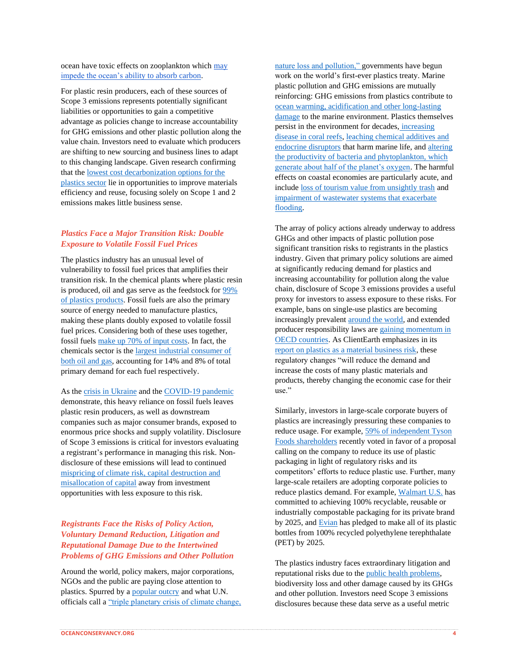For plastic resin producers, each of these sources of Scope 3 emissions represents potentially significant liabilities or opportunities to gain a competitive advantage as policies change to increase accountability for GHG emissions and other plastic pollution along the value chain. Investors need to evaluate which producers are shifting to new sourcing and business lines to adapt to this changing landscape. Given research confirming that th[e lowest cost decarbonization options for the](https://www.energy-transitions.org/wp-content/uploads/2020/08/ETC-sectoral-focus-Plastics_final.pdf)  [plastics sector](https://www.energy-transitions.org/wp-content/uploads/2020/08/ETC-sectoral-focus-Plastics_final.pdf) lie in opportunities to improve materials efficiency and reuse, focusing solely on Scope 1 and 2 emissions makes little business sense.

## *Plastics Face a Major Transition Risk: Double Exposure to Volatile Fossil Fuel Prices*

The plastics industry has an unusual level of vulnerability to fossil fuel prices that amplifies their transition risk. In the chemical plants where plastic resin is produced, oil and gas serve as the feedstock for [99%](https://www.science.org/doi/10.1126/sciadv.1700782)  [of plastics products.](https://www.science.org/doi/10.1126/sciadv.1700782) Fossil fuels are also the primary source of energy needed to manufacture plastics, making these plants doubly exposed to volatile fossil fuel prices. Considering both of these uses together, fossil fuels [make up 70% of input costs.](https://www.osti.gov/pages/biblihttps:/www.osti.gov/pages/biblio/1766872o/1766872) In fact, the chemicals sector is the [largest industrial consumer of](https://www.iea.org/reports/the-future-of-petrochemicals)  [both oil and gas,](https://www.iea.org/reports/the-future-of-petrochemicals) accounting for 14% and 8% of total primary demand for each fuel respectively.

As the [crisis in Ukraine](https://foreignpolicy.com/2022/02/28/russia-ukraine-oil-gas-sanctions-crisis-prices-energy/) and the [COVID-19 pandemic](https://www.icis.com/subscriber/icb/2020/03/12/10481835/us-advantage-crushed/#_=_) demonstrate, this heavy reliance on fossil fuels leaves plastic resin producers, as well as downstream companies such as major consumer brands, exposed to enormous price shocks and supply volatility. Disclosure of Scope 3 emissions is critical for investors evaluating a registrant's performance in managing this risk. Nondisclosure of these emissions will lead to continued [mispricing of climate risk, capital destruction and](https://papers.ssrn.com/sol3/papers.cfm?abstract_id=3782675)  [misallocation of capital](https://papers.ssrn.com/sol3/papers.cfm?abstract_id=3782675) away from investment opportunities with less exposure to this risk.

## *Registrants Face the Risks of Policy Action, Voluntary Demand Reduction, Litigation and Reputational Damage Due to the Intertwined Problems of GHG Emissions and Other Pollution*

Around the world, policy makers, major corporations, NGOs and the public are paying close attention to plastics. Spurred by a [popular outcry](https://www.reuters.com/business/environment/75-people-want-single-use-plastics-banned-global-survey-finds-2022-02-22/) and what U.N. officials call a ["triple planetary crisis of climate change,](https://insideclimatenews.org/news/03032022/plastics-treaty-united-nations/?utm_source=InsideClimate+News&utm_campaign=071bf3d4a6-&utm_medium=email&utm_term=0_29c928ffb5-071bf3d4a6-329137233)  [nature loss and pollution," g](https://insideclimatenews.org/news/03032022/plastics-treaty-united-nations/?utm_source=InsideClimate+News&utm_campaign=071bf3d4a6-&utm_medium=email&utm_term=0_29c928ffb5-071bf3d4a6-329137233)overnments have begun work on the world's first-ever plastics treaty. Marine plastic pollution and GHG emissions are mutually reinforcing: GHG emissions from plastics contribute to [ocean warming, acidification and other long-lasting](https://www.epa.gov/climate-indicators/oceans)  [damage](https://www.epa.gov/climate-indicators/oceans) to the marine environment. Plastics themselves persist in the environment for decades, [increasing](https://doi.org/10.1126/science.aar3320)  [disease in coral reefs,](https://doi.org/10.1126/science.aar3320) [leaching chemical additives and](https://doi.org/10.1186/s12302-018-0139-z)  [endocrine disruptors](https://doi.org/10.1186/s12302-018-0139-z) that harm marine life, and [altering](https://doi.org/10.1016/j.scitotenv.2022.153074)  [the productivity of bacteria and phytoplankton, which](https://doi.org/10.1016/j.scitotenv.2022.153074)  [generate about half of the planet's oxygen.](https://doi.org/10.1016/j.scitotenv.2022.153074) The harmful effects on coastal economies are particularly acute, and includ[e loss of tourism value from unsightly trash](https://www2.deloitte.com/content/dam/Deloitte/nl/Documents/strategy-analytics-and-ma/deloitte-nl-strategy-analytics-and-ma-the-price-tag-of-plastic-pollution.pdf) and [impairment of wastewater systems that exacerbate](https://www.frontiersin.org/articles/10.3389/feart.2020.00028/full)  [flooding.](https://www.frontiersin.org/articles/10.3389/feart.2020.00028/full)

The array of policy actions already underway to address GHGs and other impacts of plastic pollution pose significant transition risks to registrants in the plastics industry. Given that primary policy solutions are aimed at significantly reducing demand for plastics and increasing accountability for pollution along the value chain, disclosure of Scope 3 emissions provides a useful proxy for investors to assess exposure to these risks. For example, bans on single-use plastics are becoming increasingly prevalen[t around the world,](https://www.weforum.org/agenda/2020/10/canada-bans-single-use-plastics/) and extended producer responsibility laws are [gaining momentum in](https://www.oecd.org/env/waste/factsheetextendedproducerresponsibility.htm)  [OECD countries.](https://www.oecd.org/env/waste/factsheetextendedproducerresponsibility.htm) As ClientEarth emphasizes in its [report on plastics as a material business risk,](https://www.clientearth.org/latest/documents/risk-unwrapped-plastic-pollution-as-a-material-business-risk/) these regulatory changes "will reduce the demand and increase the costs of many plastic materials and products, thereby changing the economic case for their use."

Similarly, investors in large-scale corporate buyers of plastics are increasingly pressuring these companies to reduce usage. For example[, 59% of independent Tyson](https://www.greencentury.com/statement-59-of-independent-tyson-shareholders-support-green-century-plastic-packaging-proposal/)  [Foods shareholders](https://www.greencentury.com/statement-59-of-independent-tyson-shareholders-support-green-century-plastic-packaging-proposal/) recently voted in favor of a proposal calling on the company to reduce its use of plastic packaging in light of regulatory risks and its competitors' efforts to reduce plastic use. Further, many large-scale retailers are adopting corporate policies to reduce plastics demand. For example, [Walmart U.S.](https://corporate.walmart.com/purpose/sustainability/planet/waste) has committed to achieving 100% recyclable, reusable or industrially compostable packaging for its private brand by 2025, and [Evian](https://www.evian.com/en_int/our-sustainability-actions/packaging-and-recycling/) has pledged to make all of its plastic bottles from 100% recycled polyethylene terephthalate (PET) by 2025.

The plastics industry faces extraordinary litigation and reputational risks due to the [public health problems,](https://www.ncbi.nlm.nih.gov/pmc/articles/PMC3299092/) biodiversity loss and other damage caused by its GHGs and other pollution. Investors need Scope 3 emissions disclosures because these data serve as a useful metric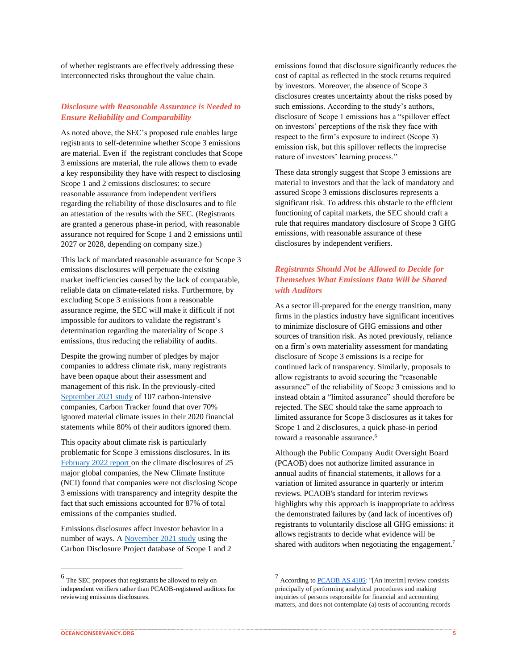of whether registrants are effectively addressing these interconnected risks throughout the value chain.

#### *Disclosure with Reasonable Assurance is Needed to Ensure Reliability and Comparability*

As noted above, the SEC's proposed rule enables large registrants to self-determine whether Scope 3 emissions are material. Even if the registrant concludes that Scope 3 emissions are material, the rule allows them to evade a key responsibility they have with respect to disclosing Scope 1 and 2 emissions disclosures: to secure reasonable assurance from independent verifiers regarding the reliability of those disclosures and to file an attestation of the results with the SEC. (Registrants are granted a generous phase-in period, with reasonable assurance not required for Scope 1 and 2 emissions until 2027 or 2028, depending on company size.)

This lack of mandated reasonable assurance for Scope 3 emissions disclosures will perpetuate the existing market inefficiencies caused by the lack of comparable, reliable data on climate-related risks. Furthermore, by excluding Scope 3 emissions from a reasonable assurance regime, the SEC will make it difficult if not impossible for auditors to validate the registrant's determination regarding the materiality of Scope 3 emissions, thus reducing the reliability of audits.

Despite the growing number of pledges by major companies to address climate risk, many registrants have been opaque about their assessment and management of this risk. In the previously-cited [September 2021 study](https://carbontracker.org/reports/flying-blind-the-glaring-absence-of-climate-risks-in-financial-reporting/) of 107 carbon-intensive companies, Carbon Tracker found that over 70% ignored material climate issues in their 2020 financial statements while 80% of their auditors ignored them.

This opacity about climate risk is particularly problematic for Scope 3 emissions disclosures. In its [February 2022 report o](https://newclimate.org/wp-content/uploads/2022/02/CorporateClimateResponsibilityMonitor2022.pdf)n the climate disclosures of 25 major global companies, the New Climate Institute (NCI) found that companies were not disclosing Scope 3 emissions with transparency and integrity despite the fact that such emissions accounted for 87% of total emissions of the companies studied.

Emissions disclosures affect investor behavior in a number of ways. A [November 2021 study](https://deliverypdf.ssrn.com/delivery.php?ID=709021124002092089086099111023125125051054034003088001030108069123086073074087028026039118010062037125043101102096006022120028112085069038022028031105016107121022003016005064082097017015026082015008115000007126107126117074090099097074065001112065102&EXT=pdf&INDEX=TRUE) using the Carbon Disclosure Project database of Scope 1 and 2 emissions found that disclosure significantly reduces the cost of capital as reflected in the stock returns required by investors. Moreover, the absence of Scope 3 disclosures creates uncertainty about the risks posed by such emissions. According to the study's authors, disclosure of Scope 1 emissions has a "spillover effect on investors' perceptions of the risk they face with respect to the firm's exposure to indirect (Scope 3) emission risk, but this spillover reflects the imprecise nature of investors' learning process."

These data strongly suggest that Scope 3 emissions are material to investors and that the lack of mandatory and assured Scope 3 emissions disclosures represents a significant risk. To address this obstacle to the efficient functioning of capital markets, the SEC should craft a rule that requires mandatory disclosure of Scope 3 GHG emissions, with reasonable assurance of these disclosures by independent verifiers.

# *Registrants Should Not be Allowed to Decide for Themselves What Emissions Data Will be Shared with Auditors*

As a sector ill-prepared for the energy transition, many firms in the plastics industry have significant incentives to minimize disclosure of GHG emissions and other sources of transition risk. As noted previously, reliance on a firm's own materiality assessment for mandating disclosure of Scope 3 emissions is a recipe for continued lack of transparency. Similarly, proposals to allow registrants to avoid securing the "reasonable assurance" of the reliability of Scope 3 emissions and to instead obtain a "limited assurance" should therefore be rejected. The SEC should take the same approach to limited assurance for Scope 3 disclosures as it takes for Scope 1 and 2 disclosures, a quick phase-in period toward a reasonable assurance.<sup>6</sup>

Although the Public Company Audit Oversight Board (PCAOB) does not authorize limited assurance in annual audits of financial statements, it allows for a variation of limited assurance in quarterly or interim reviews. PCAOB's standard for interim reviews highlights why this approach is inappropriate to address the demonstrated failures by (and lack of incentives of) registrants to voluntarily disclose all GHG emissions: it allows registrants to decide what evidence will be shared with auditors when negotiating the engagement.<sup>7</sup>

<sup>6</sup> The SEC proposes that registrants be allowed to rely on independent verifiers rather than PCAOB-registered auditors for reviewing emissions disclosures.

<sup>&</sup>lt;sup>7</sup> According t[o PCAOB AS 4105:](https://pcaobus.org/oversight/standards/auditing-standards/details/AS4105) "[An interim] review consists principally of performing analytical procedures and making inquiries of persons responsible for financial and accounting matters, and does not contemplate (a) tests of accounting records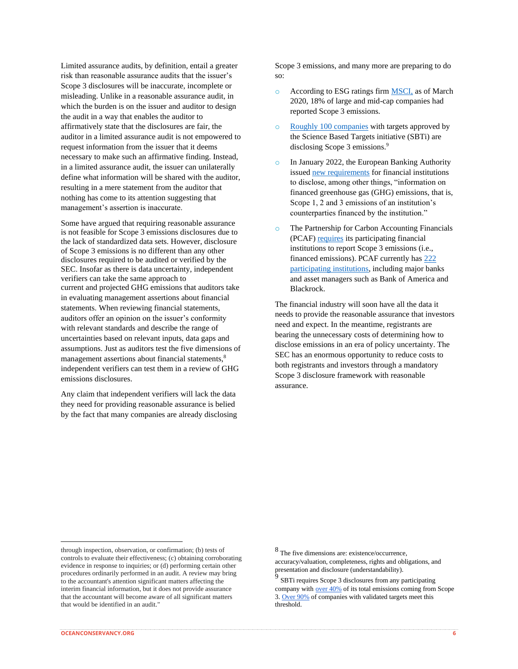Limited assurance audits, by definition, entail a greater risk than reasonable assurance audits that the issuer's Scope 3 disclosures will be inaccurate, incomplete or misleading. Unlike in a reasonable assurance audit, in which the burden is on the issuer and auditor to design the audit in a way that enables the auditor to affirmatively state that the disclosures are fair, the auditor in a limited assurance audit is not empowered to request information from the issuer that it deems necessary to make such an affirmative finding. Instead, in a limited assurance audit, the issuer can unilaterally define what information will be shared with the auditor, resulting in a mere statement from the auditor that nothing has come to its attention suggesting that management's assertion is inaccurate.

Some have argued that requiring reasonable assurance is not feasible for Scope 3 emissions disclosures due to the lack of standardized data sets. However, disclosure of Scope 3 emissions is no different than any other disclosures required to be audited or verified by the SEC. Insofar as there is data uncertainty, independent verifiers can take the same approach to current and projected GHG emissions that auditors take in evaluating management assertions about financial statements. When reviewing financial statements, auditors offer an opinion on the issuer's conformity with relevant standards and describe the range of uncertainties based on relevant inputs, data gaps and assumptions. Just as auditors test the five dimensions of management assertions about financial statements,<sup>8</sup> independent verifiers can test them in a review of GHG emissions disclosures.

Any claim that independent verifiers will lack the data they need for providing reasonable assurance is belied by the fact that many companies are already disclosing Scope 3 emissions, and many more are preparing to do so:

- o According to ESG ratings fir[m MSCI,](https://www.msci.com/www/blog-posts/scope-3-carbon-emissions-seeing/02092372761) as of March 2020, 18% of large and mid-cap companies had reported Scope 3 emissions.
- o [Roughly 100 companies](https://sciencebasedtargets.org/blog/how-can-companies-address-their-scope-3-greenhouse-gas-emissions) with targets approved by the Science Based Targets initiative (SBTi) are disclosing Scope 3 emissions.<sup>9</sup>
- o In January 2022, the European Banking Authority issued [new requirements](https://www.eba.europa.eu/sites/default/documents/files/document_library/Publications/Draft%2520Technical%2520Standards/2022/1026171/EBA%2520draft%2520ITS%2520on%2520Pillar%25203%2520disclosures%2520on%2520ESG%2520risks.pdf) for financial institutions to disclose, among other things, "information on financed greenhouse gas (GHG) emissions, that is, Scope 1, 2 and 3 emissions of an institution's counterparties financed by the institution."
- o The Partnership for Carbon Accounting Financials (PCAF[\) requires](https://carbonaccountingfinancials.com/files/downloads/PCAF-Global-GHG-Standard.pdf) its participating financial institutions to report Scope 3 emissions (i.e., financed emissions). PCAF currently ha[s 222](https://carbonaccountingfinancials.com/financial-institutions-taking-action)  [participating institutions,](https://carbonaccountingfinancials.com/financial-institutions-taking-action) including major banks and asset managers such as Bank of America and Blackrock.

The financial industry will soon have all the data it needs to provide the reasonable assurance that investors need and expect. In the meantime, registrants are bearing the unnecessary costs of determining how to disclose emissions in an era of policy uncertainty. The SEC has an enormous opportunity to reduce costs to both registrants and investors through a mandatory Scope 3 disclosure framework with reasonable assurance.

through inspection, observation, or confirmation; (b) tests of controls to evaluate their effectiveness; (c) obtaining corroborating evidence in response to inquiries; or (d) performing certain other procedures ordinarily performed in an audit. A review may bring to the accountant's attention significant matters affecting the interim financial information, but it does not provide assurance that the accountant will become aware of all significant matters that would be identified in an audit."

<sup>8</sup> The five dimensions are: existence/occurrence, accuracy/valuation, completeness, rights and obligations, and presentation and disclosure (understandability).

<sup>9</sup> SBTi requires Scope 3 disclosures from any participating company with [over 40%](https://sciencebasedtargets.org/resources/legacy/2017/04/SBTi-manual.pdf) of its total emissions coming from Scope 3. [Over 90%](https://sciencebasedtargets.org/blog/how-can-companies-address-their-scope-3-greenhouse-gas-emissions) of companies with validated targets meet this threshold.